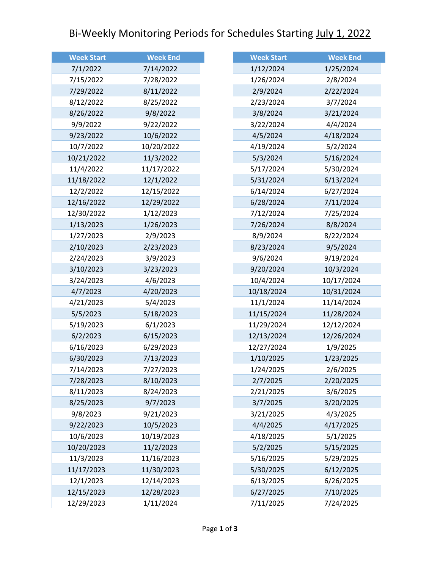## Bi-Weekly Monitoring Periods for Schedules Starting July 1, 2022

| <b>Week Start</b> | <b>Week End</b> |
|-------------------|-----------------|
| 7/1/2022          | 7/14/2022       |
| 7/15/2022         | 7/28/2022       |
| 7/29/2022         | 8/11/2022       |
| 8/12/2022         | 8/25/2022       |
| 8/26/2022         | 9/8/2022        |
| 9/9/2022          | 9/22/2022       |
| 9/23/2022         | 10/6/2022       |
| 10/7/2022         | 10/20/2022      |
| 10/21/2022        | 11/3/2022       |
| 11/4/2022         | 11/17/2022      |
| 11/18/2022        | 12/1/2022       |
| 12/2/2022         | 12/15/2022      |
| 12/16/2022        | 12/29/2022      |
| 12/30/2022        | 1/12/2023       |
| 1/13/2023         | 1/26/2023       |
| 1/27/2023         | 2/9/2023        |
| 2/10/2023         | 2/23/2023       |
| 2/24/2023         | 3/9/2023        |
| 3/10/2023         | 3/23/2023       |
| 3/24/2023         | 4/6/2023        |
| 4/7/2023          | 4/20/2023       |
| 4/21/2023         | 5/4/2023        |
| 5/5/2023          | 5/18/2023       |
| 5/19/2023         | 6/1/2023        |
| 6/2/2023          | 6/15/2023       |
| 6/16/2023         | 6/29/2023       |
| 6/30/2023         | 7/13/2023       |
| 7/14/2023         | 7/27/2023       |
| 7/28/2023         | 8/10/2023       |
| 8/11/2023         | 8/24/2023       |
| 8/25/2023         | 9/7/2023        |
| 9/8/2023          | 9/21/2023       |
| 9/22/2023         | 10/5/2023       |
| 10/6/2023         | 10/19/2023      |
| 10/20/2023        | 11/2/2023       |
| 11/3/2023         | 11/16/2023      |
| 11/17/2023        | 11/30/2023      |
| 12/1/2023         | 12/14/2023      |
| 12/15/2023        | 12/28/2023      |
| 12/29/2023        | 1/11/2024       |

| <b>Week Start</b> | <b>Week End</b> |
|-------------------|-----------------|
| 1/12/2024         | 1/25/2024       |
| 1/26/2024         | 2/8/2024        |
| 2/9/2024          | 2/22/2024       |
| 2/23/2024         | 3/7/2024        |
| 3/8/2024          | 3/21/2024       |
| 3/22/2024         | 4/4/2024        |
| 4/5/2024          | 4/18/2024       |
| 4/19/2024         | 5/2/2024        |
| 5/3/2024          | 5/16/2024       |
| 5/17/2024         | 5/30/2024       |
| 5/31/2024         | 6/13/2024       |
| 6/14/2024         | 6/27/2024       |
| 6/28/2024         | 7/11/2024       |
| 7/12/2024         | 7/25/2024       |
| 7/26/2024         | 8/8/2024        |
| 8/9/2024          | 8/22/2024       |
| 8/23/2024         | 9/5/2024        |
| 9/6/2024          | 9/19/2024       |
| 9/20/2024         | 10/3/2024       |
| 10/4/2024         | 10/17/2024      |
| 10/18/2024        | 10/31/2024      |
| 11/1/2024         | 11/14/2024      |
| 11/15/2024        | 11/28/2024      |
| 11/29/2024        | 12/12/2024      |
| 12/13/2024        | 12/26/2024      |
| 12/27/2024        | 1/9/2025        |
| 1/10/2025         | 1/23/2025       |
| 1/24/2025         | 2/6/2025        |
| 2/7/2025          | 2/20/2025       |
| 2/21/2025         | 3/6/2025        |
| 3/7/2025          | 3/20/2025       |
| 3/21/2025         | 4/3/2025        |
| 4/4/2025          | 4/17/2025       |
| 4/18/2025         | 5/1/2025        |
| 5/2/2025          | 5/15/2025       |
| 5/16/2025         | 5/29/2025       |
| 5/30/2025         | 6/12/2025       |
| 6/13/2025         | 6/26/2025       |
| 6/27/2025         | 7/10/2025       |
| 7/11/2025         | 7/24/2025       |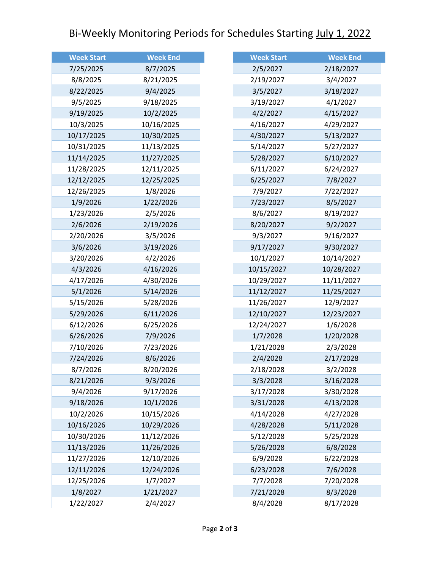## Bi-Weekly Monitoring Periods for Schedules Starting July 1, 2022

| <b>Week Start</b> | <b>Week End</b> |
|-------------------|-----------------|
| 7/25/2025         | 8/7/2025        |
| 8/8/2025          | 8/21/2025       |
| 8/22/2025         | 9/4/2025        |
| 9/5/2025          | 9/18/2025       |
| 9/19/2025         | 10/2/2025       |
| 10/3/2025         | 10/16/2025      |
| 10/17/2025        | 10/30/2025      |
| 10/31/2025        | 11/13/2025      |
| 11/14/2025        | 11/27/2025      |
| 11/28/2025        | 12/11/2025      |
| 12/12/2025        | 12/25/2025      |
| 12/26/2025        | 1/8/2026        |
| 1/9/2026          | 1/22/2026       |
| 1/23/2026         | 2/5/2026        |
| 2/6/2026          | 2/19/2026       |
| 2/20/2026         | 3/5/2026        |
| 3/6/2026          | 3/19/2026       |
| 3/20/2026         | 4/2/2026        |
| 4/3/2026          | 4/16/2026       |
| 4/17/2026         | 4/30/2026       |
| 5/1/2026          | 5/14/2026       |
| 5/15/2026         | 5/28/2026       |
| 5/29/2026         | 6/11/2026       |
| 6/12/2026         | 6/25/2026       |
| 6/26/2026         | 7/9/2026        |
| 7/10/2026         | 7/23/2026       |
| 7/24/2026         | 8/6/2026        |
| 8/7/2026          | 8/20/2026       |
| 8/21/2026         | 9/3/2026        |
| 9/4/2026          | 9/17/2026       |
| 9/18/2026         | 10/1/2026       |
| 10/2/2026         | 10/15/2026      |
| 10/16/2026        | 10/29/2026      |
| 10/30/2026        | 11/12/2026      |
| 11/13/2026        | 11/26/2026      |
| 11/27/2026        | 12/10/2026      |
| 12/11/2026        | 12/24/2026      |
| 12/25/2026        | 1/7/2027        |
| 1/8/2027          | 1/21/2027       |
| 1/22/2027         | 2/4/2027        |

| <b>Week Start</b> | <b>Week End</b> |
|-------------------|-----------------|
| 2/5/2027          | 2/18/2027       |
| 2/19/2027         | 3/4/2027        |
| 3/5/2027          | 3/18/2027       |
| 3/19/2027         | 4/1/2027        |
| 4/2/2027          | 4/15/2027       |
| 4/16/2027         | 4/29/2027       |
| 4/30/2027         | 5/13/2027       |
| 5/14/2027         | 5/27/2027       |
| 5/28/2027         | 6/10/2027       |
| 6/11/2027         | 6/24/2027       |
| 6/25/2027         | 7/8/2027        |
| 7/9/2027          | 7/22/2027       |
| 7/23/2027         | 8/5/2027        |
| 8/6/2027          | 8/19/2027       |
| 8/20/2027         | 9/2/2027        |
| 9/3/2027          | 9/16/2027       |
| 9/17/2027         | 9/30/2027       |
| 10/1/2027         | 10/14/2027      |
| 10/15/2027        | 10/28/2027      |
| 10/29/2027        | 11/11/2027      |
| 11/12/2027        | 11/25/2027      |
| 11/26/2027        | 12/9/2027       |
| 12/10/2027        | 12/23/2027      |
| 12/24/2027        | 1/6/2028        |
| 1/7/2028          | 1/20/2028       |
| 1/21/2028         | 2/3/2028        |
| 2/4/2028          | 2/17/2028       |
| 2/18/2028         | 3/2/2028        |
| 3/3/2028          | 3/16/2028       |
| 3/17/2028         | 3/30/2028       |
| 3/31/2028         | 4/13/2028       |
| 4/14/2028         | 4/27/2028       |
| 4/28/2028         | 5/11/2028       |
| 5/12/2028         | 5/25/2028       |
| 5/26/2028         | 6/8/2028        |
| 6/9/2028          | 6/22/2028       |
| 6/23/2028         | 7/6/2028        |
| 7/7/2028          | 7/20/2028       |
| 7/21/2028         | 8/3/2028        |
| 8/4/2028          | 8/17/2028       |